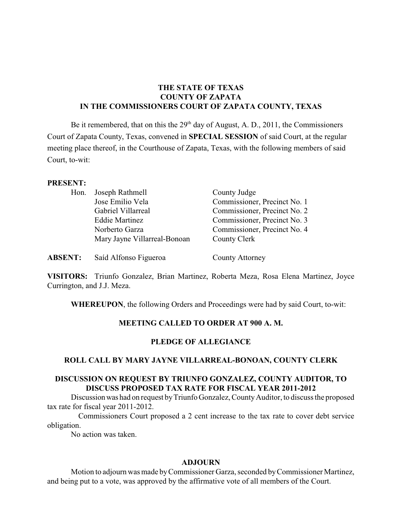## **THE STATE OF TEXAS COUNTY OF ZAPATA IN THE COMMISSIONERS COURT OF ZAPATA COUNTY, TEXAS**

Be it remembered, that on this the  $29<sup>th</sup>$  day of August, A. D., 2011, the Commissioners Court of Zapata County, Texas, convened in **SPECIAL SESSION** of said Court, at the regular meeting place thereof, in the Courthouse of Zapata, Texas, with the following members of said Court, to-wit:

#### **PRESENT:**

| Hon. | Joseph Rathmell              | County Judge                 |
|------|------------------------------|------------------------------|
|      | Jose Emilio Vela             | Commissioner, Precinct No. 1 |
|      | Gabriel Villarreal           | Commissioner, Precinct No. 2 |
|      | <b>Eddie Martinez</b>        | Commissioner, Precinct No. 3 |
|      | Norberto Garza               | Commissioner, Precinct No. 4 |
|      | Mary Jayne Villarreal-Bonoan | County Clerk                 |
|      |                              |                              |

**ABSENT:** Saíd Alfonso Figueroa County Attorney

**VISITORS:** Triunfo Gonzalez, Brian Martinez, Roberta Meza, Rosa Elena Martinez, Joyce Currington, and J.J. Meza.

**WHEREUPON**, the following Orders and Proceedings were had by said Court, to-wit:

### **MEETING CALLED TO ORDER AT 900 A. M.**

### **PLEDGE OF ALLEGIANCE**

### **ROLL CALL BY MARY JAYNE VILLARREAL-BONOAN, COUNTY CLERK**

# **DISCUSSION ON REQUEST BY TRIUNFO GONZALEZ, COUNTY AUDITOR, TO DISCUSS PROPOSED TAX RATE FOR FISCAL YEAR 2011-2012**

Discussion was had on request by Triunfo Gonzalez, County Auditor, to discuss the proposed tax rate for fiscal year 2011-2012.

Commissioners Court proposed a 2 cent increase to the tax rate to cover debt service obligation.

No action was taken.

### **ADJOURN**

Motion to adjourn was made byCommissioner Garza, seconded byCommissioner Martinez, and being put to a vote, was approved by the affirmative vote of all members of the Court.